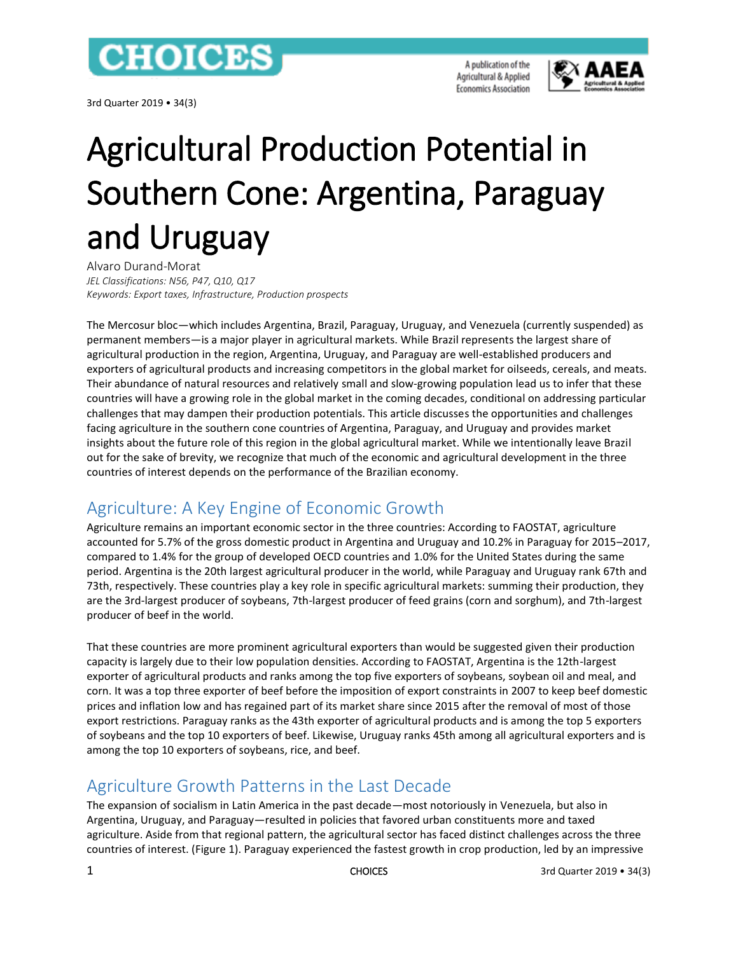

3rd Quarter 2019 • 34(3)

A publication of the Agricultural & Applied **Economics Association** 



# Agricultural Production Potential in Southern Cone: Argentina, Paraguay and Uruguay

Alvaro Durand-Morat *JEL Classifications: N56, P47, Q10, Q17 Keywords: Export taxes, Infrastructure, Production prospects*

The Mercosur bloc—which includes Argentina, Brazil, Paraguay, Uruguay, and Venezuela (currently suspended) as permanent members—is a major player in agricultural markets. While Brazil represents the largest share of agricultural production in the region, Argentina, Uruguay, and Paraguay are well-established producers and exporters of agricultural products and increasing competitors in the global market for oilseeds, cereals, and meats. Their abundance of natural resources and relatively small and slow-growing population lead us to infer that these countries will have a growing role in the global market in the coming decades, conditional on addressing particular challenges that may dampen their production potentials. This article discusses the opportunities and challenges facing agriculture in the southern cone countries of Argentina, Paraguay, and Uruguay and provides market insights about the future role of this region in the global agricultural market. While we intentionally leave Brazil out for the sake of brevity, we recognize that much of the economic and agricultural development in the three countries of interest depends on the performance of the Brazilian economy.

## Agriculture: A Key Engine of Economic Growth

Agriculture remains an important economic sector in the three countries: According to FAOSTAT, agriculture accounted for 5.7% of the gross domestic product in Argentina and Uruguay and 10.2% in Paraguay for 2015–2017, compared to 1.4% for the group of developed OECD countries and 1.0% for the United States during the same period. Argentina is the 20th largest agricultural producer in the world, while Paraguay and Uruguay rank 67th and 73th, respectively. These countries play a key role in specific agricultural markets: summing their production, they are the 3rd-largest producer of soybeans, 7th-largest producer of feed grains (corn and sorghum), and 7th-largest producer of beef in the world.

That these countries are more prominent agricultural exporters than would be suggested given their production capacity is largely due to their low population densities. According to FAOSTAT, Argentina is the 12th-largest exporter of agricultural products and ranks among the top five exporters of soybeans, soybean oil and meal, and corn. It was a top three exporter of beef before the imposition of export constraints in 2007 to keep beef domestic prices and inflation low and has regained part of its market share since 2015 after the removal of most of those export restrictions. Paraguay ranks as the 43th exporter of agricultural products and is among the top 5 exporters of soybeans and the top 10 exporters of beef. Likewise, Uruguay ranks 45th among all agricultural exporters and is among the top 10 exporters of soybeans, rice, and beef.

## Agriculture Growth Patterns in the Last Decade

The expansion of socialism in Latin America in the past decade—most notoriously in Venezuela, but also in Argentina, Uruguay, and Paraguay—resulted in policies that favored urban constituents more and taxed agriculture. Aside from that regional pattern, the agricultural sector has faced distinct challenges across the three countries of interest. (Figure 1). Paraguay experienced the fastest growth in crop production, led by an impressive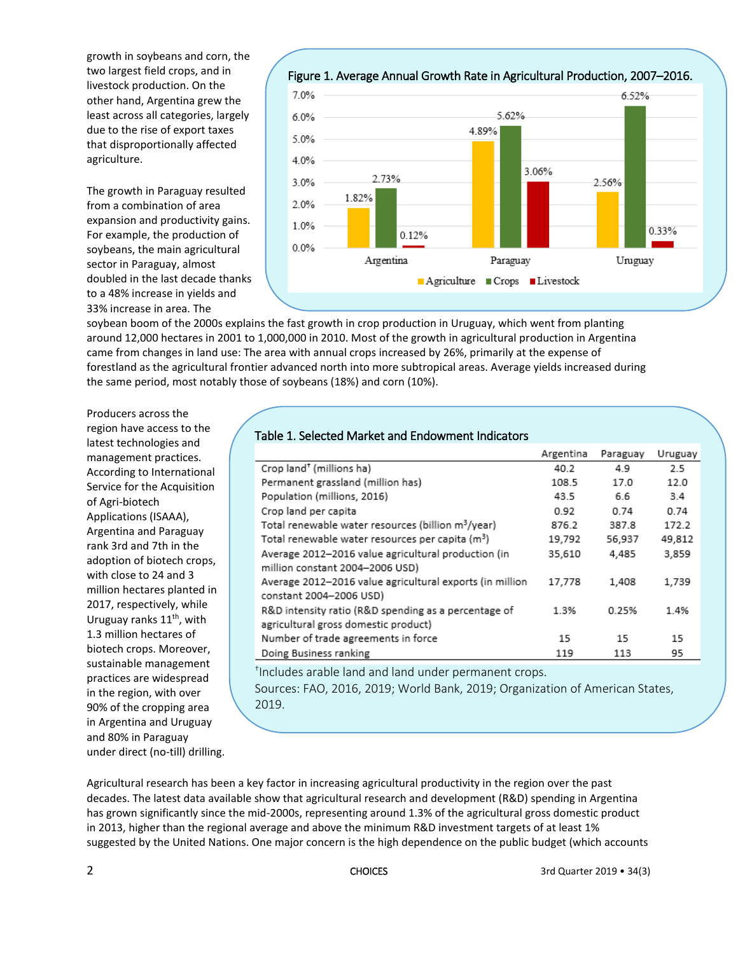growth in soybeans and corn, the two largest field crops, and in livestock production. On the other hand, Argentina grew the least across all categories, largely due to the rise of export taxes that disproportionally affected agriculture.

The growth in Paraguay resulted from a combination of area expansion and productivity gains. For example, the production of soybeans, the main agricultural sector in Paraguay, almost doubled in the last decade thanks to a 48% increase in yields and 33% increase in area. The

[Figure 1. Average Annual Growth Rate in Agricultural Production, 2007](http://www.choicesmagazine.org/UserFiles/image/Durand-MoratFigure12.0.png)–2016.



soybean boom of the 2000s explains the fast growth in crop production in Uruguay, which went from planting around 12,000 hectares in 2001 to 1,000,000 in 2010. Most of the growth in agricultural production in Argentina came from changes in land use: The area with annual crops increased by 26%, primarily at the expense of forestland as the agricultural frontier advanced north into more subtropical areas. Average yields increased during the same period, most notably those of soybeans (18%) and corn (10%).

Producers across the region have access to the latest technologies and management practices. According to International Service for the Acquisition of Agri-biotech Applications (ISAAA), Argentina and Paraguay rank 3rd and 7th in the adoption of biotech crops, with close to 24 and 3 million hectares planted in 2017, respectively, while Uruguay ranks  $11<sup>th</sup>$ , with 1.3 million hectares of biotech crops. Moreover, sustainable management practices are widespread in the region, with over 90% of the cropping area in Argentina and Uruguay and 80% in Paraguay under direct (no-till) drilling.

#### Table 1. Selected Market and Endowment Indicators

|                                                                   | Argentina | Paraguay | Uruguay |
|-------------------------------------------------------------------|-----------|----------|---------|
| Crop land <sup>+</sup> (millions ha)                              | 40.2      | 4.9      | 2.5     |
| Permanent grassland (million has)                                 | 108.5     | 17.0     | 12.0    |
| Population (millions, 2016)                                       | 43.5      | 6.6      | 3.4     |
| Crop land per capita                                              | 0.92      | 0.74     | 0.74    |
| Total renewable water resources (billion m <sup>3</sup> /year)    | 876.2     | 387.8    | 172.2   |
| Total renewable water resources per capita (m <sup>3</sup> )      | 19,792    | 56,937   | 49,812  |
| Average 2012-2016 value agricultural production (in               | 35,610    | 4,485    | 3,859   |
| million constant 2004-2006 USD)                                   |           |          |         |
| Average 2012-2016 value agricultural exports (in million          | 17,778    | 1.408    | 1,739   |
| constant 2004-2006 USD)                                           |           |          |         |
| R&D intensity ratio (R&D spending as a percentage of              | 1.3%      | 0.25%    | 1.4%    |
| agricultural gross domestic product)                              |           |          |         |
| Number of trade agreements in force                               | 15        | 15       | 15      |
| Doing Business ranking                                            | 119       | 113      | 95      |
| <sup>t</sup> Includes arable land and land under permanent crops. |           |          |         |

Sources: FAO, 2016, 2019; World Bank, 2019; Organization of American States, 2019.

Agricultural research has been a key factor in increasing agricultural productivity in the region over the past decades. The latest data available show that agricultural research and development (R&D) spending in Argentina has grown significantly since the mid-2000s, representing around 1.3% of the agricultural gross domestic product in 2013, higher than the regional average and above the minimum R&D investment targets of at least 1% suggested by the United Nations. One major concern is the high dependence on the public budget (which accounts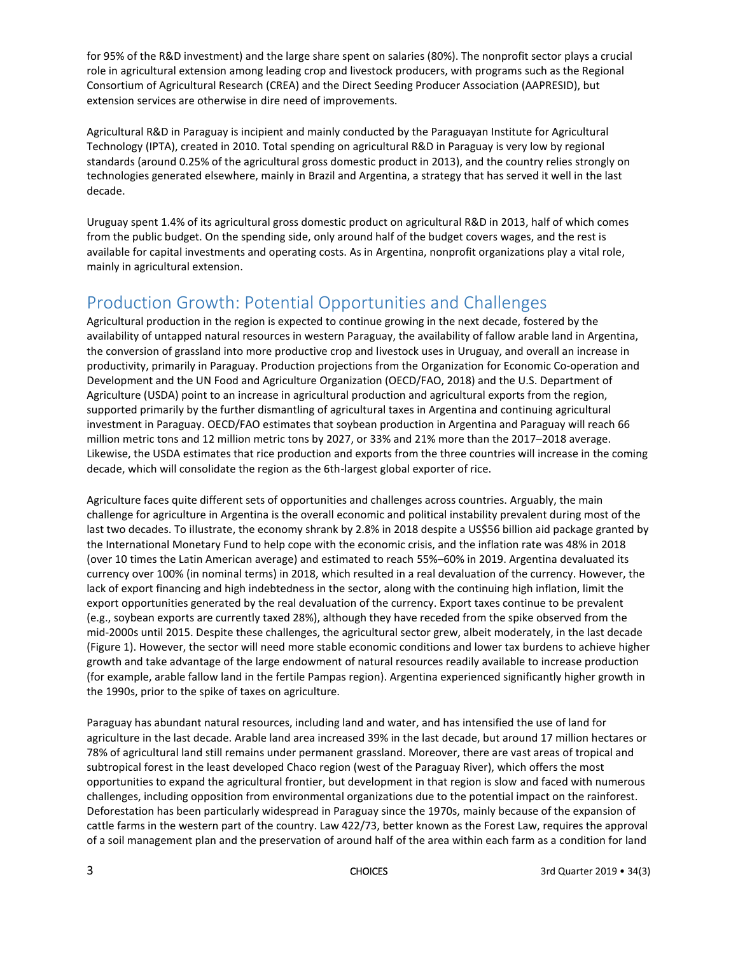for 95% of the R&D investment) and the large share spent on salaries (80%). The nonprofit sector plays a crucial role in agricultural extension among leading crop and livestock producers, with programs such as the Regional Consortium of Agricultural Research (CREA) and the Direct Seeding Producer Association (AAPRESID), but extension services are otherwise in dire need of improvements.

Agricultural R&D in Paraguay is incipient and mainly conducted by the Paraguayan Institute for Agricultural Technology (IPTA), created in 2010. Total spending on agricultural R&D in Paraguay is very low by regional standards (around 0.25% of the agricultural gross domestic product in 2013), and the country relies strongly on technologies generated elsewhere, mainly in Brazil and Argentina, a strategy that has served it well in the last decade.

Uruguay spent 1.4% of its agricultural gross domestic product on agricultural R&D in 2013, half of which comes from the public budget. On the spending side, only around half of the budget covers wages, and the rest is available for capital investments and operating costs. As in Argentina, nonprofit organizations play a vital role, mainly in agricultural extension.

#### Production Growth: Potential Opportunities and Challenges

Agricultural production in the region is expected to continue growing in the next decade, fostered by the availability of untapped natural resources in western Paraguay, the availability of fallow arable land in Argentina, the conversion of grassland into more productive crop and livestock uses in Uruguay, and overall an increase in productivity, primarily in Paraguay. Production projections from the Organization for Economic Co-operation and Development and the UN Food and Agriculture Organization (OECD/FAO, 2018) and the U.S. Department of Agriculture (USDA) point to an increase in agricultural production and agricultural exports from the region, supported primarily by the further dismantling of agricultural taxes in Argentina and continuing agricultural investment in Paraguay. OECD/FAO estimates that soybean production in Argentina and Paraguay will reach 66 million metric tons and 12 million metric tons by 2027, or 33% and 21% more than the 2017–2018 average. Likewise, the USDA estimates that rice production and exports from the three countries will increase in the coming decade, which will consolidate the region as the 6th-largest global exporter of rice.

Agriculture faces quite different sets of opportunities and challenges across countries. Arguably, the main challenge for agriculture in Argentina is the overall economic and political instability prevalent during most of the last two decades. To illustrate, the economy shrank by 2.8% in 2018 despite a US\$56 billion aid package granted by the International Monetary Fund to help cope with the economic crisis, and the inflation rate was 48% in 2018 (over 10 times the Latin American average) and estimated to reach 55%–60% in 2019. Argentina devaluated its currency over 100% (in nominal terms) in 2018, which resulted in a real devaluation of the currency. However, the lack of export financing and high indebtedness in the sector, along with the continuing high inflation, limit the export opportunities generated by the real devaluation of the currency. Export taxes continue to be prevalent (e.g., soybean exports are currently taxed 28%), although they have receded from the spike observed from the mid-2000s until 2015. Despite these challenges, the agricultural sector grew, albeit moderately, in the last decade (Figure 1). However, the sector will need more stable economic conditions and lower tax burdens to achieve higher growth and take advantage of the large endowment of natural resources readily available to increase production (for example, arable fallow land in the fertile Pampas region). Argentina experienced significantly higher growth in the 1990s, prior to the spike of taxes on agriculture.

Paraguay has abundant natural resources, including land and water, and has intensified the use of land for agriculture in the last decade. Arable land area increased 39% in the last decade, but around 17 million hectares or 78% of agricultural land still remains under permanent grassland. Moreover, there are vast areas of tropical and subtropical forest in the least developed Chaco region (west of the Paraguay River), which offers the most opportunities to expand the agricultural frontier, but development in that region is slow and faced with numerous challenges, including opposition from environmental organizations due to the potential impact on the rainforest. Deforestation has been particularly widespread in Paraguay since the 1970s, mainly because of the expansion of cattle farms in the western part of the country. Law 422/73, better known as the Forest Law, requires the approval of a soil management plan and the preservation of around half of the area within each farm as a condition for land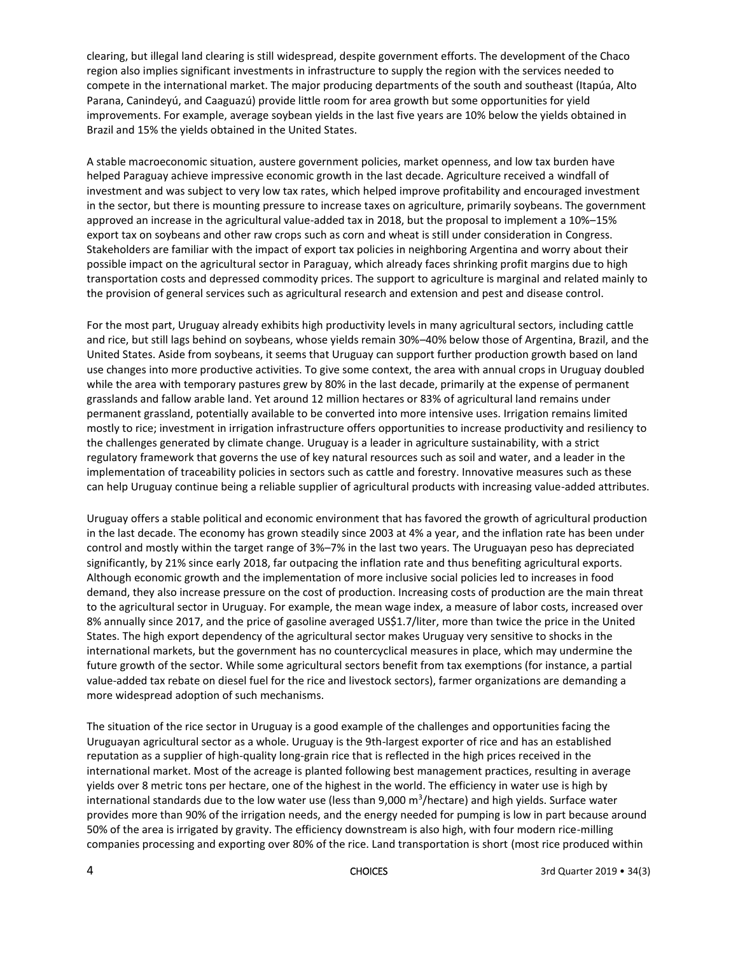clearing, but illegal land clearing is still widespread, despite government efforts. The development of the Chaco region also implies significant investments in infrastructure to supply the region with the services needed to compete in the international market. The major producing departments of the south and southeast (Itapúa, Alto Parana, Canindeyú, and Caaguazú) provide little room for area growth but some opportunities for yield improvements. For example, average soybean yields in the last five years are 10% below the yields obtained in Brazil and 15% the yields obtained in the United States.

A stable macroeconomic situation, austere government policies, market openness, and low tax burden have helped Paraguay achieve impressive economic growth in the last decade. Agriculture received a windfall of investment and was subject to very low tax rates, which helped improve profitability and encouraged investment in the sector, but there is mounting pressure to increase taxes on agriculture, primarily soybeans. The government approved an increase in the agricultural value-added tax in 2018, but the proposal to implement a 10%–15% export tax on soybeans and other raw crops such as corn and wheat is still under consideration in Congress. Stakeholders are familiar with the impact of export tax policies in neighboring Argentina and worry about their possible impact on the agricultural sector in Paraguay, which already faces shrinking profit margins due to high transportation costs and depressed commodity prices. The support to agriculture is marginal and related mainly to the provision of general services such as agricultural research and extension and pest and disease control.

For the most part, Uruguay already exhibits high productivity levels in many agricultural sectors, including cattle and rice, but still lags behind on soybeans, whose yields remain 30%–40% below those of Argentina, Brazil, and the United States. Aside from soybeans, it seems that Uruguay can support further production growth based on land use changes into more productive activities. To give some context, the area with annual crops in Uruguay doubled while the area with temporary pastures grew by 80% in the last decade, primarily at the expense of permanent grasslands and fallow arable land. Yet around 12 million hectares or 83% of agricultural land remains under permanent grassland, potentially available to be converted into more intensive uses. Irrigation remains limited mostly to rice; investment in irrigation infrastructure offers opportunities to increase productivity and resiliency to the challenges generated by climate change. Uruguay is a leader in agriculture sustainability, with a strict regulatory framework that governs the use of key natural resources such as soil and water, and a leader in the implementation of traceability policies in sectors such as cattle and forestry. Innovative measures such as these can help Uruguay continue being a reliable supplier of agricultural products with increasing value-added attributes.

Uruguay offers a stable political and economic environment that has favored the growth of agricultural production in the last decade. The economy has grown steadily since 2003 at 4% a year, and the inflation rate has been under control and mostly within the target range of 3%–7% in the last two years. The Uruguayan peso has depreciated significantly, by 21% since early 2018, far outpacing the inflation rate and thus benefiting agricultural exports. Although economic growth and the implementation of more inclusive social policies led to increases in food demand, they also increase pressure on the cost of production. Increasing costs of production are the main threat to the agricultural sector in Uruguay. For example, the mean wage index, a measure of labor costs, increased over 8% annually since 2017, and the price of gasoline averaged US\$1.7/liter, more than twice the price in the United States. The high export dependency of the agricultural sector makes Uruguay very sensitive to shocks in the international markets, but the government has no countercyclical measures in place, which may undermine the future growth of the sector. While some agricultural sectors benefit from tax exemptions (for instance, a partial value-added tax rebate on diesel fuel for the rice and livestock sectors), farmer organizations are demanding a more widespread adoption of such mechanisms.

The situation of the rice sector in Uruguay is a good example of the challenges and opportunities facing the Uruguayan agricultural sector as a whole. Uruguay is the 9th-largest exporter of rice and has an established reputation as a supplier of high-quality long-grain rice that is reflected in the high prices received in the international market. Most of the acreage is planted following best management practices, resulting in average yields over 8 metric tons per hectare, one of the highest in the world. The efficiency in water use is high by international standards due to the low water use (less than 9,000 m<sup>3</sup>/hectare) and high yields. Surface water provides more than 90% of the irrigation needs, and the energy needed for pumping is low in part because around 50% of the area is irrigated by gravity. The efficiency downstream is also high, with four modern rice-milling companies processing and exporting over 80% of the rice. Land transportation is short (most rice produced within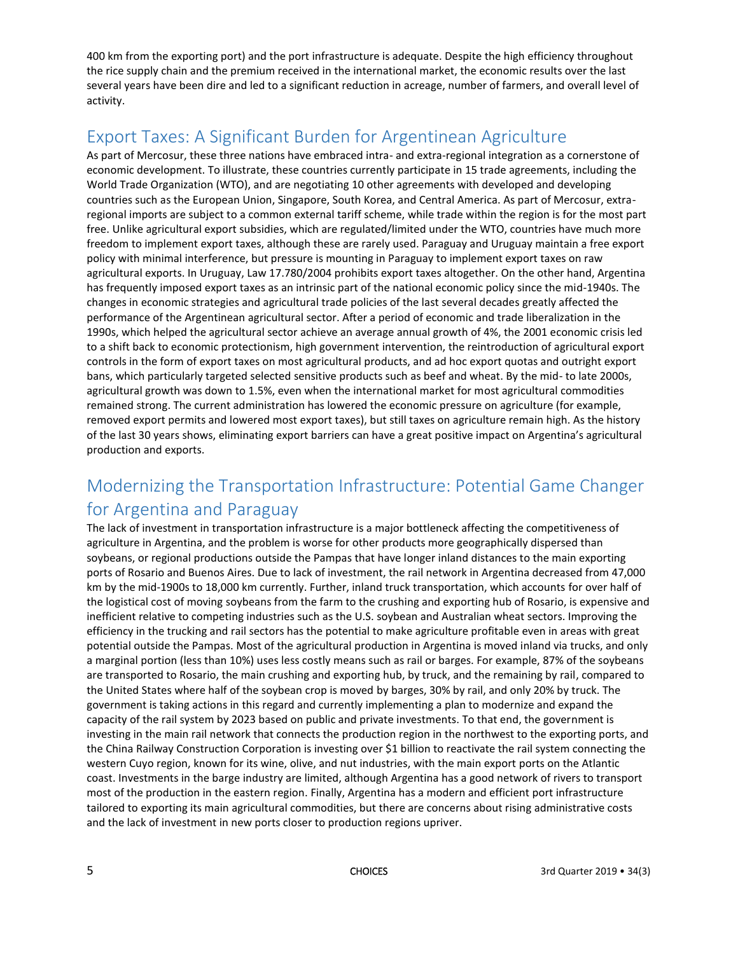400 km from the exporting port) and the port infrastructure is adequate. Despite the high efficiency throughout the rice supply chain and the premium received in the international market, the economic results over the last several years have been dire and led to a significant reduction in acreage, number of farmers, and overall level of activity.

## Export Taxes: A Significant Burden for Argentinean Agriculture

As part of Mercosur, these three nations have embraced intra- and extra-regional integration as a cornerstone of economic development. To illustrate, these countries currently participate in 15 trade agreements, including the World Trade Organization (WTO), and are negotiating 10 other agreements with developed and developing countries such as the European Union, Singapore, South Korea, and Central America. As part of Mercosur, extraregional imports are subject to a common external tariff scheme, while trade within the region is for the most part free. Unlike agricultural export subsidies, which are regulated/limited under the WTO, countries have much more freedom to implement export taxes, although these are rarely used. Paraguay and Uruguay maintain a free export policy with minimal interference, but pressure is mounting in Paraguay to implement export taxes on raw agricultural exports. In Uruguay, Law 17.780/2004 prohibits export taxes altogether. On the other hand, Argentina has frequently imposed export taxes as an intrinsic part of the national economic policy since the mid-1940s. The changes in economic strategies and agricultural trade policies of the last several decades greatly affected the performance of the Argentinean agricultural sector. After a period of economic and trade liberalization in the 1990s, which helped the agricultural sector achieve an average annual growth of 4%, the 2001 economic crisis led to a shift back to economic protectionism, high government intervention, the reintroduction of agricultural export controls in the form of export taxes on most agricultural products, and ad hoc export quotas and outright export bans, which particularly targeted selected sensitive products such as beef and wheat. By the mid- to late 2000s, agricultural growth was down to 1.5%, even when the international market for most agricultural commodities remained strong. The current administration has lowered the economic pressure on agriculture (for example, removed export permits and lowered most export taxes), but still taxes on agriculture remain high. As the history of the last 30 years shows, eliminating export barriers can have a great positive impact on Argentina's agricultural production and exports.

## Modernizing the Transportation Infrastructure: Potential Game Changer for Argentina and Paraguay

The lack of investment in transportation infrastructure is a major bottleneck affecting the competitiveness of agriculture in Argentina, and the problem is worse for other products more geographically dispersed than soybeans, or regional productions outside the Pampas that have longer inland distances to the main exporting ports of Rosario and Buenos Aires. Due to lack of investment, the rail network in Argentina decreased from 47,000 km by the mid-1900s to 18,000 km currently. Further, inland truck transportation, which accounts for over half of the logistical cost of moving soybeans from the farm to the crushing and exporting hub of Rosario, is expensive and inefficient relative to competing industries such as the U.S. soybean and Australian wheat sectors. Improving the efficiency in the trucking and rail sectors has the potential to make agriculture profitable even in areas with great potential outside the Pampas. Most of the agricultural production in Argentina is moved inland via trucks, and only a marginal portion (less than 10%) uses less costly means such as rail or barges. For example, 87% of the soybeans are transported to Rosario, the main crushing and exporting hub, by truck, and the remaining by rail, compared to the United States where half of the soybean crop is moved by barges, 30% by rail, and only 20% by truck. The government is taking actions in this regard and currently implementing a plan to modernize and expand the capacity of the rail system by 2023 based on public and private investments. To that end, the government is investing in the main rail network that connects the production region in the northwest to the exporting ports, and the China Railway Construction Corporation is investing over \$1 billion to reactivate the rail system connecting the western Cuyo region, known for its wine, olive, and nut industries, with the main export ports on the Atlantic coast. Investments in the barge industry are limited, although Argentina has a good network of rivers to transport most of the production in the eastern region. Finally, Argentina has a modern and efficient port infrastructure tailored to exporting its main agricultural commodities, but there are concerns about rising administrative costs and the lack of investment in new ports closer to production regions upriver.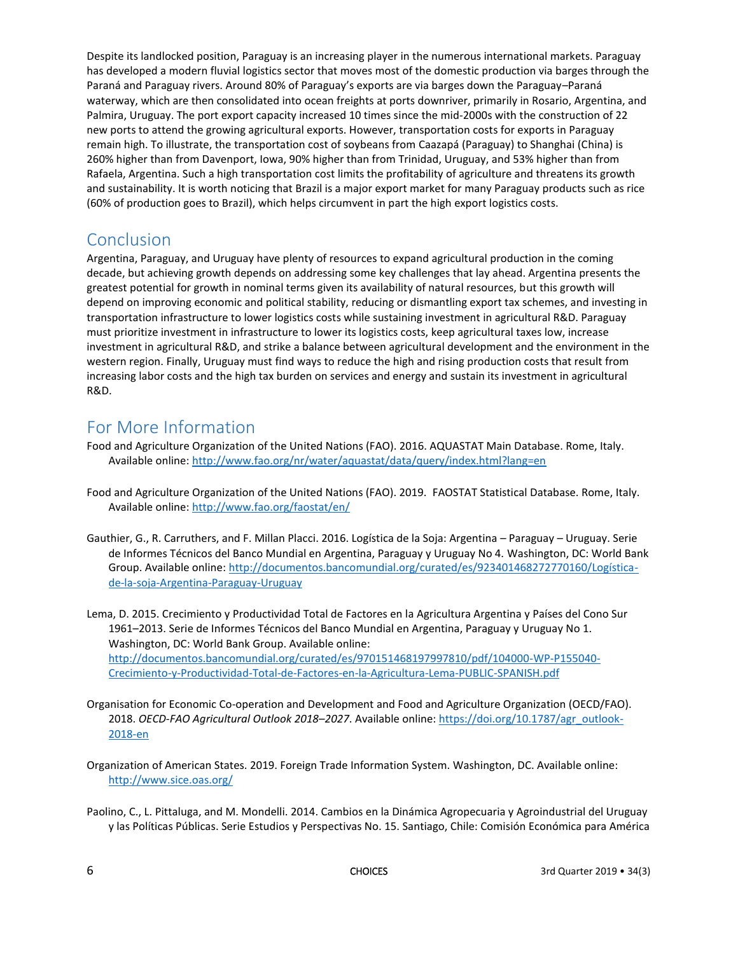Despite its landlocked position, Paraguay is an increasing player in the numerous international markets. Paraguay has developed a modern fluvial logistics sector that moves most of the domestic production via barges through the Paraná and Paraguay rivers. Around 80% of Paraguay's exports are via barges down the Paraguay–Paraná waterway, which are then consolidated into ocean freights at ports downriver, primarily in Rosario, Argentina, and Palmira, Uruguay. The port export capacity increased 10 times since the mid-2000s with the construction of 22 new ports to attend the growing agricultural exports. However, transportation costs for exports in Paraguay remain high. To illustrate, the transportation cost of soybeans from Caazapá (Paraguay) to Shanghai (China) is 260% higher than from Davenport, Iowa, 90% higher than from Trinidad, Uruguay, and 53% higher than from Rafaela, Argentina. Such a high transportation cost limits the profitability of agriculture and threatens its growth and sustainability. It is worth noticing that Brazil is a major export market for many Paraguay products such as rice (60% of production goes to Brazil), which helps circumvent in part the high export logistics costs.

#### Conclusion

Argentina, Paraguay, and Uruguay have plenty of resources to expand agricultural production in the coming decade, but achieving growth depends on addressing some key challenges that lay ahead. Argentina presents the greatest potential for growth in nominal terms given its availability of natural resources, but this growth will depend on improving economic and political stability, reducing or dismantling export tax schemes, and investing in transportation infrastructure to lower logistics costs while sustaining investment in agricultural R&D. Paraguay must prioritize investment in infrastructure to lower its logistics costs, keep agricultural taxes low, increase investment in agricultural R&D, and strike a balance between agricultural development and the environment in the western region. Finally, Uruguay must find ways to reduce the high and rising production costs that result from increasing labor costs and the high tax burden on services and energy and sustain its investment in agricultural R&D.

#### For More Information

- Food and Agriculture Organization of the United Nations (FAO). 2016. AQUASTAT Main Database. Rome, Italy. Available online[: http://www.fao.org/nr/water/aquastat/data/query/index.html?lang=en](http://www.fao.org/nr/water/aquastat/data/query/index.html?lang=en)
- Food and Agriculture Organization of the United Nations (FAO). 2019. FAOSTAT Statistical Database. Rome, Italy. Available online[: http://www.fao.org/faostat/en/](http://www.fao.org/faostat/en/)
- Gauthier, G., R. Carruthers, and F. Millan Placci. 2016. Logística de la Soja: Argentina Paraguay Uruguay. Serie de Informes Técnicos del Banco Mundial en Argentina, Paraguay y Uruguay No 4. Washington, DC: World Bank Group. Available online: [http://documentos.bancomundial.org/curated/es/923401468272770160/Logística](http://documentos.bancomundial.org/curated/es/923401468272770160/Log%C3%ADstica-de-la-soja-Argentina-Paraguay-Uruguay)[de-la-soja-Argentina-Paraguay-Uruguay](http://documentos.bancomundial.org/curated/es/923401468272770160/Log%C3%ADstica-de-la-soja-Argentina-Paraguay-Uruguay)
- Lema, D. 2015. Crecimiento y Productividad Total de Factores en la Agricultura Argentina y Países del Cono Sur 1961–2013. Serie de Informes Técnicos del Banco Mundial en Argentina, Paraguay y Uruguay No 1. Washington, DC: World Bank Group. Available online: [http://documentos.bancomundial.org/curated/es/970151468197997810/pdf/104000-WP-P155040-](http://documentos.bancomundial.org/curated/es/970151468197997810/pdf/104000-WP-P155040-Crecimiento-y-Productividad-Total-de-Factores-en-la-Agricultura-Lema-PUBLIC-SPANISH.pdf) [Crecimiento-y-Productividad-Total-de-Factores-en-la-Agricultura-Lema-PUBLIC-SPANISH.pdf](http://documentos.bancomundial.org/curated/es/970151468197997810/pdf/104000-WP-P155040-Crecimiento-y-Productividad-Total-de-Factores-en-la-Agricultura-Lema-PUBLIC-SPANISH.pdf)
- Organisation for Economic Co-operation and Development and Food and Agriculture Organization (OECD/FAO). 2018. *OECD-FAO Agricultural Outlook 2018–2027*. Available online: [https://doi.org/10.1787/agr\\_outlook-](https://doi.org/10.1787/agr_outlook-2018-en)[2018-en](https://doi.org/10.1787/agr_outlook-2018-en)
- Organization of American States. 2019. Foreign Trade Information System. Washington, DC. Available online: <http://www.sice.oas.org/>
- Paolino, C., L. Pittaluga, and M. Mondelli. 2014. Cambios en la Dinámica Agropecuaria y Agroindustrial del Uruguay y las Políticas Públicas. Serie Estudios y Perspectivas No. 15. Santiago, Chile: Comisión Económica para América